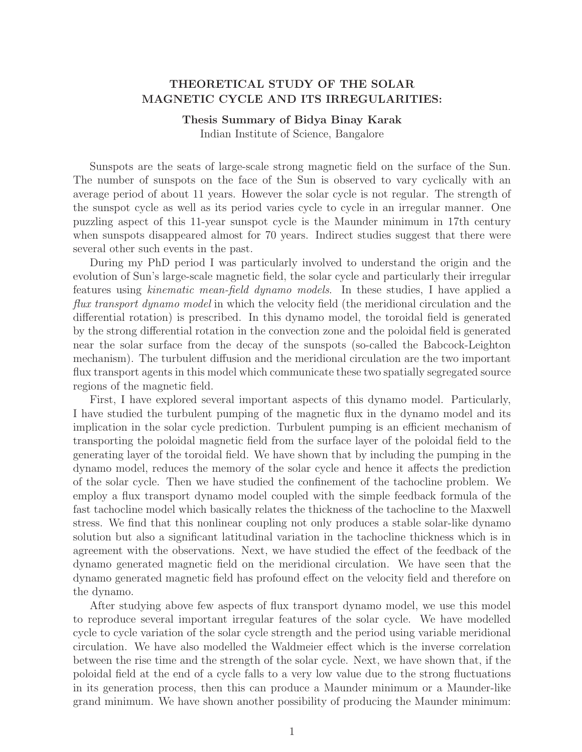## THEORETICAL STUDY OF THE SOLAR MAGNETIC CYCLE AND ITS IRREGULARITIES:

## Thesis Summary of Bidya Binay Karak

Indian Institute of Science, Bangalore

Sunspots are the seats of large-scale strong magnetic field on the surface of the Sun. The number of sunspots on the face of the Sun is observed to vary cyclically with an average period of about 11 years. However the solar cycle is not regular. The strength of the sunspot cycle as well as its period varies cycle to cycle in an irregular manner. One puzzling aspect of this 11-year sunspot cycle is the Maunder minimum in 17th century when sunspots disappeared almost for 70 years. Indirect studies suggest that there were several other such events in the past.

During my PhD period I was particularly involved to understand the origin and the evolution of Sun's large-scale magnetic field, the solar cycle and particularly their irregular features using *kinematic mean-field dynamo models*. In these studies, I have applied a flux transport dynamo model in which the velocity field (the meridional circulation and the differential rotation) is prescribed. In this dynamo model, the toroidal field is generated by the strong differential rotation in the convection zone and the poloidal field is generated near the solar surface from the decay of the sunspots (so-called the Babcock-Leighton mechanism). The turbulent diffusion and the meridional circulation are the two important flux transport agents in this model which communicate these two spatially segregated source regions of the magnetic field.

First, I have explored several important aspects of this dynamo model. Particularly, I have studied the turbulent pumping of the magnetic flux in the dynamo model and its implication in the solar cycle prediction. Turbulent pumping is an efficient mechanism of transporting the poloidal magnetic field from the surface layer of the poloidal field to the generating layer of the toroidal field. We have shown that by including the pumping in the dynamo model, reduces the memory of the solar cycle and hence it affects the prediction of the solar cycle. Then we have studied the confinement of the tachocline problem. We employ a flux transport dynamo model coupled with the simple feedback formula of the fast tachocline model which basically relates the thickness of the tachocline to the Maxwell stress. We find that this nonlinear coupling not only produces a stable solar-like dynamo solution but also a significant latitudinal variation in the tachocline thickness which is in agreement with the observations. Next, we have studied the effect of the feedback of the dynamo generated magnetic field on the meridional circulation. We have seen that the dynamo generated magnetic field has profound effect on the velocity field and therefore on the dynamo.

After studying above few aspects of flux transport dynamo model, we use this model to reproduce several important irregular features of the solar cycle. We have modelled cycle to cycle variation of the solar cycle strength and the period using variable meridional circulation. We have also modelled the Waldmeier effect which is the inverse correlation between the rise time and the strength of the solar cycle. Next, we have shown that, if the poloidal field at the end of a cycle falls to a very low value due to the strong fluctuations in its generation process, then this can produce a Maunder minimum or a Maunder-like grand minimum. We have shown another possibility of producing the Maunder minimum: